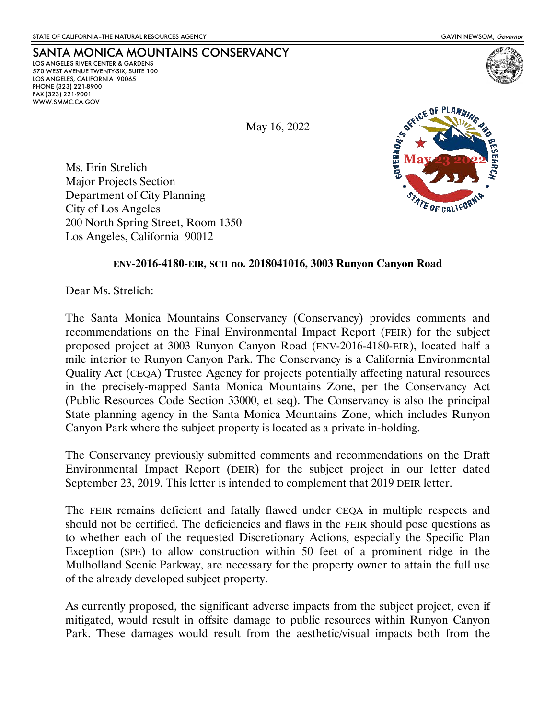LOS ANGELES RIVER CENTER & GARDENS 570 WEST AVENUE TWENTY-SIX, SUITE 100 LOS ANGELES, CALIFORNIA 90065

PHONE (323) 221-8900 FAX (323) 221-9001 WWW.SMMC.CA.GOV

May 16, 2022



Ms. Erin Strelich Major Projects Section Department of City Planning City of Los Angeles 200 North Spring Street, Room 1350 Los Angeles, California 90012

SANTA MONICA MOUNTAINS CONSERVANCY

#### **ENV-2016-4180-EIR, SCH no. 2018041016, 3003 Runyon Canyon Road**

Dear Ms. Strelich:

The Santa Monica Mountains Conservancy (Conservancy) provides comments and recommendations on the Final Environmental Impact Report (FEIR) for the subject proposed project at 3003 Runyon Canyon Road (ENV-2016-4180-EIR), located half a mile interior to Runyon Canyon Park. The Conservancy is a California Environmental Quality Act (CEQA) Trustee Agency for projects potentially affecting natural resources in the precisely-mapped Santa Monica Mountains Zone, per the Conservancy Act (Public Resources Code Section 33000, et seq). The Conservancy is also the principal State planning agency in the Santa Monica Mountains Zone, which includes Runyon Canyon Park where the subject property is located as a private in-holding.

The Conservancy previously submitted comments and recommendations on the Draft Environmental Impact Report (DEIR) for the subject project in our letter dated September 23, 2019. This letter is intended to complement that 2019 DEIR letter.

The FEIR remains deficient and fatally flawed under CEQA in multiple respects and should not be certified. The deficiencies and flaws in the FEIR should pose questions as to whether each of the requested Discretionary Actions, especially the Specific Plan Exception (SPE) to allow construction within 50 feet of a prominent ridge in the Mulholland Scenic Parkway, are necessary for the property owner to attain the full use of the already developed subject property.

As currently proposed, the significant adverse impacts from the subject project, even if mitigated, would result in offsite damage to public resources within Runyon Canyon Park. These damages would result from the aesthetic/visual impacts both from the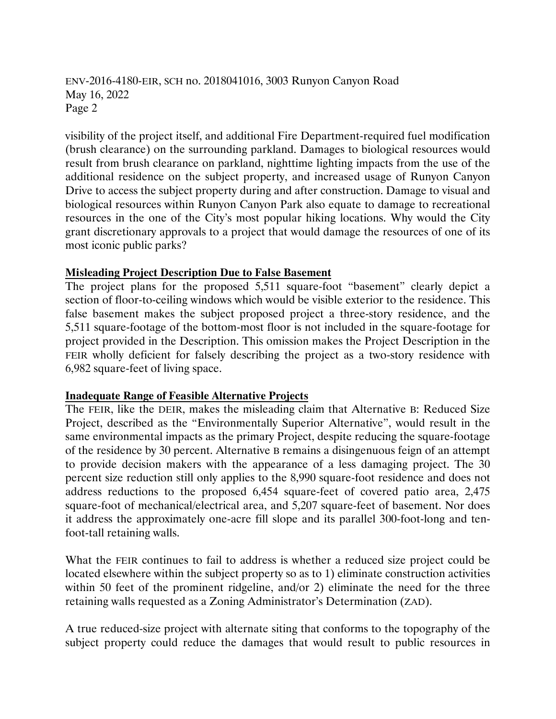visibility of the project itself, and additional Fire Department-required fuel modification (brush clearance) on the surrounding parkland. Damages to biological resources would result from brush clearance on parkland, nighttime lighting impacts from the use of the additional residence on the subject property, and increased usage of Runyon Canyon Drive to access the subject property during and after construction. Damage to visual and biological resources within Runyon Canyon Park also equate to damage to recreational resources in the one of the City's most popular hiking locations. Why would the City grant discretionary approvals to a project that would damage the resources of one of its most iconic public parks?

## **Misleading Project Description Due to False Basement**

The project plans for the proposed 5,511 square-foot "basement" clearly depict a section of floor-to-ceiling windows which would be visible exterior to the residence. This false basement makes the subject proposed project a three-story residence, and the 5,511 square-footage of the bottom-most floor is not included in the square-footage for project provided in the Description. This omission makes the Project Description in the FEIR wholly deficient for falsely describing the project as a two-story residence with 6,982 square-feet of living space.

## **Inadequate Range of Feasible Alternative Projects**

The FEIR, like the DEIR, makes the misleading claim that Alternative B: Reduced Size Project, described as the "Environmentally Superior Alternative", would result in the same environmental impacts as the primary Project, despite reducing the square-footage of the residence by 30 percent. Alternative B remains a disingenuous feign of an attempt to provide decision makers with the appearance of a less damaging project. The 30 percent size reduction still only applies to the 8,990 square-foot residence and does not address reductions to the proposed 6,454 square-feet of covered patio area, 2,475 square-foot of mechanical/electrical area, and 5,207 square-feet of basement. Nor does it address the approximately one-acre fill slope and its parallel 300-foot-long and tenfoot-tall retaining walls.

What the FEIR continues to fail to address is whether a reduced size project could be located elsewhere within the subject property so as to 1) eliminate construction activities within 50 feet of the prominent ridgeline, and/or 2) eliminate the need for the three retaining walls requested as a Zoning Administrator's Determination (ZAD).

A true reduced-size project with alternate siting that conforms to the topography of the subject property could reduce the damages that would result to public resources in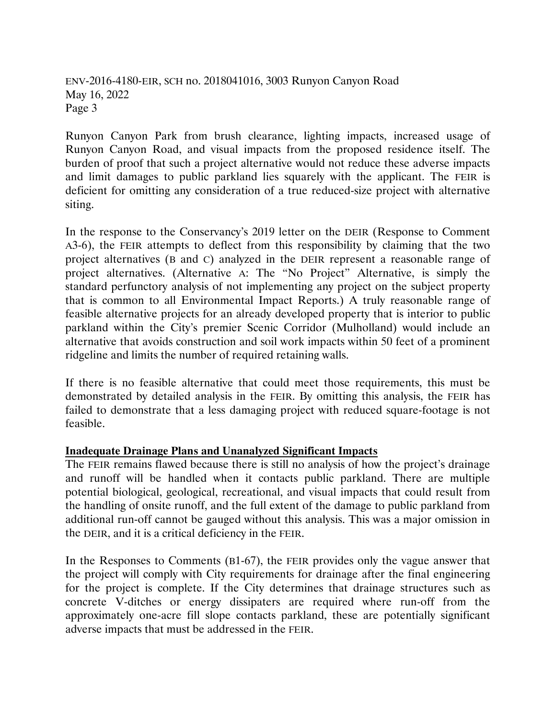Runyon Canyon Park from brush clearance, lighting impacts, increased usage of Runyon Canyon Road, and visual impacts from the proposed residence itself. The burden of proof that such a project alternative would not reduce these adverse impacts and limit damages to public parkland lies squarely with the applicant. The FEIR is deficient for omitting any consideration of a true reduced-size project with alternative siting.

In the response to the Conservancy's 2019 letter on the DEIR (Response to Comment A3-6), the FEIR attempts to deflect from this responsibility by claiming that the two project alternatives (B and C) analyzed in the DEIR represent a reasonable range of project alternatives. (Alternative A: The "No Project" Alternative, is simply the standard perfunctory analysis of not implementing any project on the subject property that is common to all Environmental Impact Reports.) A truly reasonable range of feasible alternative projects for an already developed property that is interior to public parkland within the City's premier Scenic Corridor (Mulholland) would include an alternative that avoids construction and soil work impacts within 50 feet of a prominent ridgeline and limits the number of required retaining walls.

If there is no feasible alternative that could meet those requirements, this must be demonstrated by detailed analysis in the FEIR. By omitting this analysis, the FEIR has failed to demonstrate that a less damaging project with reduced square-footage is not feasible.

## **Inadequate Drainage Plans and Unanalyzed Significant Impacts**

The FEIR remains flawed because there is still no analysis of how the project's drainage and runoff will be handled when it contacts public parkland. There are multiple potential biological, geological, recreational, and visual impacts that could result from the handling of onsite runoff, and the full extent of the damage to public parkland from additional run-off cannot be gauged without this analysis. This was a major omission in the DEIR, and it is a critical deficiency in the FEIR.

In the Responses to Comments (B1-67), the FEIR provides only the vague answer that the project will comply with City requirements for drainage after the final engineering for the project is complete. If the City determines that drainage structures such as concrete V-ditches or energy dissipaters are required where run-off from the approximately one-acre fill slope contacts parkland, these are potentially significant adverse impacts that must be addressed in the FEIR.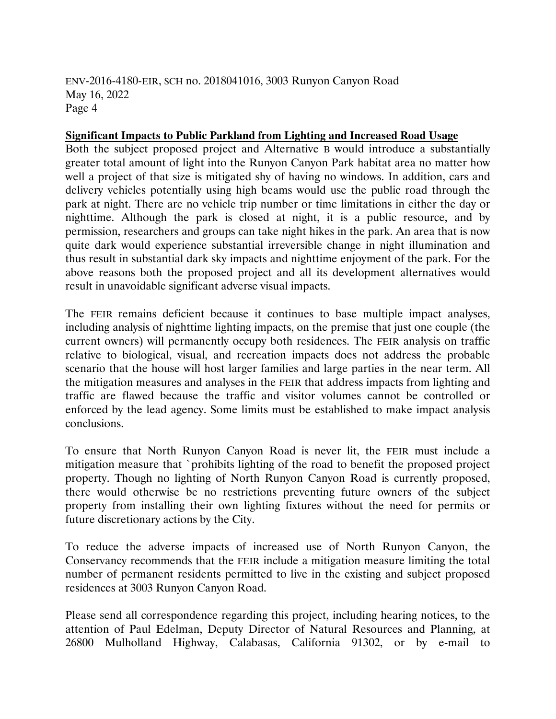#### **Significant Impacts to Public Parkland from Lighting and Increased Road Usage**

Both the subject proposed project and Alternative B would introduce a substantially greater total amount of light into the Runyon Canyon Park habitat area no matter how well a project of that size is mitigated shy of having no windows. In addition, cars and delivery vehicles potentially using high beams would use the public road through the park at night. There are no vehicle trip number or time limitations in either the day or nighttime. Although the park is closed at night, it is a public resource, and by permission, researchers and groups can take night hikes in the park. An area that is now quite dark would experience substantial irreversible change in night illumination and thus result in substantial dark sky impacts and nighttime enjoyment of the park. For the above reasons both the proposed project and all its development alternatives would result in unavoidable significant adverse visual impacts.

The FEIR remains deficient because it continues to base multiple impact analyses, including analysis of nighttime lighting impacts, on the premise that just one couple (the current owners) will permanently occupy both residences. The FEIR analysis on traffic relative to biological, visual, and recreation impacts does not address the probable scenario that the house will host larger families and large parties in the near term. All the mitigation measures and analyses in the FEIR that address impacts from lighting and traffic are flawed because the traffic and visitor volumes cannot be controlled or enforced by the lead agency. Some limits must be established to make impact analysis conclusions.

To ensure that North Runyon Canyon Road is never lit, the FEIR must include a mitigation measure that `prohibits lighting of the road to benefit the proposed project property. Though no lighting of North Runyon Canyon Road is currently proposed, there would otherwise be no restrictions preventing future owners of the subject property from installing their own lighting fixtures without the need for permits or future discretionary actions by the City.

To reduce the adverse impacts of increased use of North Runyon Canyon, the Conservancy recommends that the FEIR include a mitigation measure limiting the total number of permanent residents permitted to live in the existing and subject proposed residences at 3003 Runyon Canyon Road.

Please send all correspondence regarding this project, including hearing notices, to the attention of Paul Edelman, Deputy Director of Natural Resources and Planning, at 26800 Mulholland Highway, Calabasas, California 91302, or by e-mail to